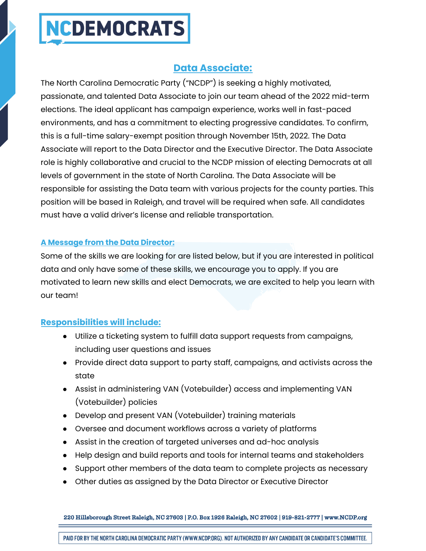## **NCDEMOCRATS**

### **Data Associate:**

The North Carolina Democratic Party ("NCDP") is seeking a highly motivated, passionate, and talented Data Associate to join our team ahead of the 2022 mid-term elections. The ideal applicant has campaign experience, works well in fast-paced environments, and has a commitment to electing progressive candidates. To confirm, this is a full-time salary-exempt position through November 15th, 2022. The Data Associate will report to the Data Director and the Executive Director. The Data Associate role is highly collaborative and crucial to the NCDP mission of electing Democrats at all levels of government in the state of North Carolina. The Data Associate will be responsible for assisting the Data team with various projects for the county parties. This position will be based in Raleigh, and travel will be required when safe. All candidates must have a valid driver's license and reliable transportation.

#### **A Message from the Data Director:**

Some of the skills we are looking for are listed below, but if you are interested in political data and only have some of these skills, we encourage you to apply. If you are motivated to learn new skills and elect Democrats, we are excited to help you learn with our team!

#### **Responsibilities will include:**

- Utilize a ticketing system to fulfill data support requests from campaigns, including user questions and issues
- Provide direct data support to party staff, campaigns, and activists across the state
- Assist in administering VAN (Votebuilder) access and implementing VAN (Votebuilder) policies
- Develop and present VAN (Votebuilder) training materials
- Oversee and document workflows across a variety of platforms
- Assist in the creation of targeted universes and ad-hoc analysis
- Help design and build reports and tools for internal teams and stakeholders
- Support other members of the data team to complete projects as necessary
- Other duties as assigned by the Data Director or Executive Director

220 Hillsborough Street Raleigh, NC 27603 | P.O. Box 1926 Raleigh, NC 27602 | 919-821-2777 | www.NCDP.org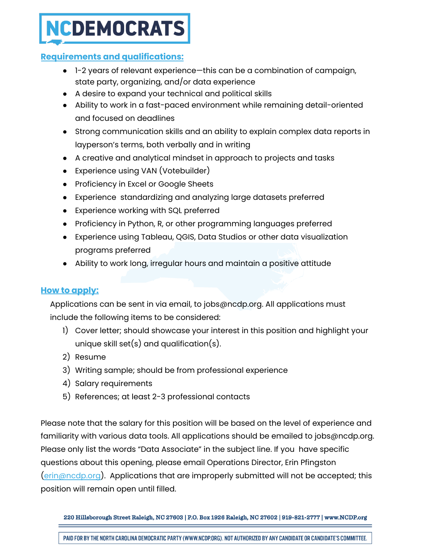### NCDEMOCRATS

#### **Requirements and qualifications:**

- 1-2 years of relevant experience—this can be a combination of campaign, state party, organizing, and/or data experience
- A desire to expand your technical and political skills
- Ability to work in a fast-paced environment while remaining detail-oriented and focused on deadlines
- Strong communication skills and an ability to explain complex data reports in layperson's terms, both verbally and in writing
- A creative and analytical mindset in approach to projects and tasks
- Experience using VAN (Votebuilder)
- Proficiency in Excel or Google Sheets
- Experience standardizing and analyzing large datasets preferred
- Experience working with SQL preferred
- Proficiency in Python, R, or other programming languages preferred
- Experience using Tableau, QGIS, Data Studios or other data visualization programs preferred
- Ability to work long, irregular hours and maintain a positive attitude

#### **How to apply:**

Applications can be sent in via email, to jobs@ncdp.org. All applications must include the following items to be considered:

- 1) Cover letter; should showcase your interest in this position and highlight your unique skill set(s) and qualification(s).
- 2) Resume
- 3) Writing sample; should be from professional experience
- 4) Salary requirements
- 5) References; at least 2-3 professional contacts

Please note that the salary for this position will be based on the level of experience and familiarity with various data tools. All applications should be emailed to jobs@ncdp.org. Please only list the words "Data Associate" in the subject line. If you have specific questions about this opening, please email Operations Director, Erin Pfingston [\(erin@ncdp.org\)](mailto:erin@ncdp.org). Applications that are improperly submitted will not be accepted; this position will remain open until filled.

220 Hillsborough Street Raleigh, NC 27603 | P.O. Box 1926 Raleigh, NC 27602 | 919-821-2777 | www.NCDP.org